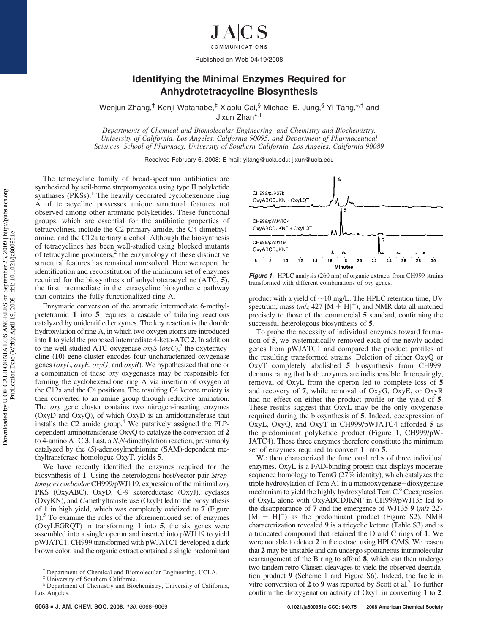Published on Web 04/19/2008

## **Identifying the Minimal Enzymes Required for Anhydrotetracycline Biosynthesis**

Wenjun Zhang,<sup>†</sup> Kenji Watanabe,<sup>‡</sup> Xiaolu Cai, Michael E. Jung, Yi Tang, \*<sup>,†</sup> and Jixun Zhan\*,†

*Departments of Chemical and Biomolecular Engineering, and Chemistry and Biochemistry, Uni*V*ersity of California, Los Angeles, California 90095, and Department of Pharmaceutical Sciences, School of Pharmacy, Uni*V*ersity of Southern California, Los Angeles, California 90089*

Received February 6, 2008; E-mail: yitang@ucla.edu; jixun@ucla.edu

The tetracycline family of broad-spectrum antibiotics are synthesized by soil-borne streptomycetes using type II polyketide synthases  $(PKSS)$ .<sup>1</sup> The heavily decorated cyclohexenone ring A of tetracycline possesses unique structural features not observed among other aromatic polyketides. These functional groups, which are essential for the antibiotic properties of tetracyclines, include the C2 primary amide, the C4 dimethylamine, and the C12a tertiary alcohol. Although the biosynthesis of tetracyclines has been well-studied using blocked mutants of tetracycline producers, $<sup>2</sup>$  the enzymology of these distinctive</sup> structural features has remained unresolved. Here we report the identification and reconstitution of the minimum set of enzymes required for the biosynthesis of anhydrotetracycline (ATC, **5**), the first intermediate in the tetracycline biosynthetic pathway that contains the fully functionalized ring A.

Enzymatic conversion of the aromatic intermediate 6-methylpretetramid **1** into **5** requires a cascade of tailoring reactions catalyzed by unidentified enzymes. The key reaction is the double hydroxylation of ring A, in which two oxygen atoms are introduced into **1** to yield the proposed intermediate 4-keto-ATC **2**. In addition to the well-studied ATC-oxygenase  $\alpha$ xyS ( $\alpha$ tcC),<sup>3</sup> the oxytetracycline (**10**) gene cluster encodes four uncharacterized oxygenase genes (*oxyL*, *oxyE*, *oxyG*, and *oxyR*). We hypothesized that one or a combination of these *oxy* oxygenases may be responsible for forming the cyclohexendione ring A via insertion of oxygen at the C12a and the C4 positions. The resulting C4 ketone moiety is then converted to an amine group through reductive amination. The *oxy* gene cluster contains two nitrogen-inserting enzymes (OxyD and OxyQ), of which OxyD is an amidotransferase that installs the  $C2$  amide group.<sup>4</sup> We putatively assigned the PLPdependent aminotransferase OxyQ to catalyze the conversion of **2** to 4-amino ATC **3**. Last, a *N*,*N*-dimethylation reaction, presumably catalyzed by the (*S*)-adenosylmethionine (SAM)-dependent methyltransferase homologue OxyT, yields **5**.

We have recently identified the enzymes required for the biosynthesis of **1**. Using the heterologous host/vector pair *Streptomyces coelicolor* CH999/pWJ119, expression of the minimal *oxy* PKS (OxyABC), OxyD, C-9 ketoreductase (OxyJ), cyclases (OxyKN), and *C-*methyltransferase (OxyF) led to the biosynthesis of **1** in high yield, which was completely oxidized to **7** (Figure  $1$ .<sup>5</sup> To examine the roles of the aforementioned set of enzymes (OxyLEGRQT) in transforming **1** into **5**, the six genes were assembled into a single operon and inserted into pWJ119 to yield pWJATC1. CH999 transformed with pWJATC1 developed a dark brown color, and the organic extract contained a single predominant



**Figure 1.** HPLC analysis (260 nm) of organic extracts from CH999 strains transformed with different combinations of *oxy* genes.

product with a yield of ∼10 mg/L. The HPLC retention time, UV spectrum, mass  $(m/z 427 [M + H]^+)$ , and NMR data all matched precisely to those of the commercial **5** standard, confirming the successful heterologous biosynthesis of **5**.

To probe the necessity of individual enzymes toward formation of **5**, we systematically removed each of the newly added genes from pWJATC1 and compared the product profiles of the resulting transformed strains. Deletion of either OxyQ or OxyT completely abolished **5** biosynthesis from CH999, demonstrating that both enzymes are indispensible. Interestingly, removal of OxyL from the operon led to complete loss of **5** and recovery of **7**, while removal of OxyG, OxyE, or OxyR had no effect on either the product profile or the yield of **5**. These results suggest that OxyL may be the only oxygenase required during the biosynthesis of **5**. Indeed, coexpression of OxyL, OxyQ, and OxyT in CH999/pWJATC4 afforded **5** as the predominant polyketide product (Figure 1, CH999/pW-JATC4). These three enzymes therefore constitute the minimum set of enzymes required to convert **1** into **5**.

We then characterized the functional roles of three individual enzymes. OxyL is a FAD-binding protein that displays moderate sequence homology to TcmG (27% identity), which catalyzes the triple hydroxylation of Tcm A1 in a monooxygenase-dioxygenase mechanism to yield the highly hydroxylated Tcm C.<sup>6</sup> Coexpression of OxyL alone with OxyABCDJKNF in CH999/pWJ135 led to the disappearance of **7** and the emergence of WJ135 **9** (*m*/*z* 227  $[M - H]$ <sup>-</sup>) as the predominant product (Figure S2). NMR characterization revealed **9** is a tricyclic ketone (Table S3) and is a truncated compound that retained the D and C rings of **1**. We were not able to detect **2** in the extract using HPLC/MS. We reason that **2** may be unstable and can undergo spontaneous intramolecular rearrangement of the B ring to afford **8**, which can then undergo two tandem retro-Claisen cleavages to yield the observed degradation product **9** (Scheme 1 and Figure S6). Indeed, the facile in vitro conversion of **2** to **9** was reported by Scott et al.7 To further confirm the dioxygenation activity of OxyL in converting **1** to **2**,

<sup>†</sup> Department of Chemical and Biomolecular Engineering, UCLA.

University of Southern California.

<sup>§</sup> Department of Chemistry and Biochemistry, University of California, Los Angeles.